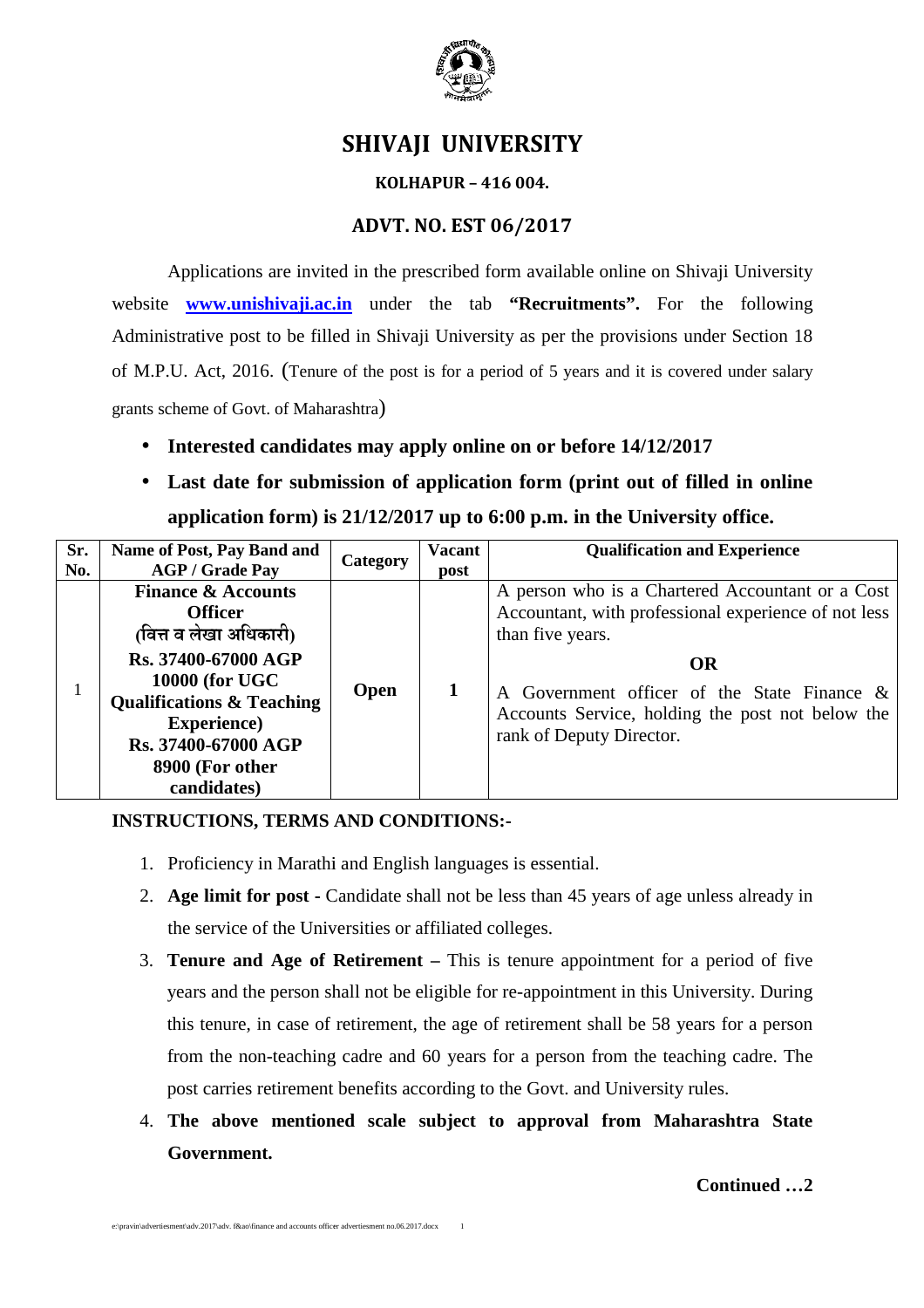

# **SHIVAJI UNIVERSITY**

### **KOLHAPUR – 416 004.**

## **ADVT. NO. EST 06/2017**

Applications are invited in the prescribed form available online on Shivaji University website **www.unishivaji.ac.in** under the tab **"Recruitments".** For the following Administrative post to be filled in Shivaji University as per the provisions under Section of M.P.U. Act, 2016. (Tenure of the post is for a period of 5 years and it is covered under salary grants scheme of Govt. of Maharashtra )

- Interested candidates may apply online on or before  $14/12/2017$
- **Last date for submission of application form (print out of filled in online** application form) is 21/12/2017 up to 6:00 p.m. in the University office.

|                                                                                                              | Administrative post to be filled in Shivaji University as per the provisions under Section 18                                                                                                                                                              |                                                      |                 |                       |                                                                                                                                          |
|--------------------------------------------------------------------------------------------------------------|------------------------------------------------------------------------------------------------------------------------------------------------------------------------------------------------------------------------------------------------------------|------------------------------------------------------|-----------------|-----------------------|------------------------------------------------------------------------------------------------------------------------------------------|
|                                                                                                              | of M.P.U. Act, 2016. (Tenure of the post is for a period of 5 years and it is covered under salary                                                                                                                                                         |                                                      |                 |                       |                                                                                                                                          |
|                                                                                                              | grants scheme of Govt. of Maharashtra)                                                                                                                                                                                                                     |                                                      |                 |                       |                                                                                                                                          |
|                                                                                                              | Interested candidates may apply online on or before 14/12/2017                                                                                                                                                                                             |                                                      |                 |                       |                                                                                                                                          |
| Last date for submission of application form (print out of filled in online                                  |                                                                                                                                                                                                                                                            |                                                      |                 |                       |                                                                                                                                          |
| application form) is 21/12/2017 up to 6:00 p.m. in the University office.                                    |                                                                                                                                                                                                                                                            |                                                      |                 |                       |                                                                                                                                          |
| Sr.<br>No.                                                                                                   |                                                                                                                                                                                                                                                            | Name of Post, Pay Band and<br><b>AGP / Grade Pay</b> | <b>Category</b> | <b>Vacant</b><br>post | <b>Qualification and Experience</b>                                                                                                      |
|                                                                                                              | <b>Finance &amp; Accounts</b><br><b>Officer</b><br>(वित्त व लेखा अधिकारी)<br>Rs. 37400-67000 AGP<br>10000 (for UGC<br>$\mathbf{1}$<br><b>Qualifications &amp; Teaching</b><br><b>Experience</b> )<br>Rs. 37400-67000 AGP<br>8900 (For other<br>candidates) |                                                      | Open            | $\mathbf{1}$          | A person who is a Chartered Accountant or a Cost<br>Accountant, with professional experience of not less<br>than five years.             |
|                                                                                                              |                                                                                                                                                                                                                                                            |                                                      |                 |                       | <b>OR</b><br>A Government officer of the State Finance &<br>Accounts Service, holding the post not below the<br>rank of Deputy Director. |
| <b>INSTRUCTIONS, TERMS AND CONDITIONS:-</b><br>1. Proficiency in Marathi and English languages is essential. |                                                                                                                                                                                                                                                            |                                                      |                 |                       |                                                                                                                                          |
|                                                                                                              | 2. Age limit for post - Candidate shall not be less than 45 years of age unless already in                                                                                                                                                                 |                                                      |                 |                       |                                                                                                                                          |
|                                                                                                              | the service of the Universities or affiliated colleges.                                                                                                                                                                                                    |                                                      |                 |                       |                                                                                                                                          |
|                                                                                                              | 3. Tenure and Age of Retirement – This is tenure appointment for a period of five                                                                                                                                                                          |                                                      |                 |                       |                                                                                                                                          |
|                                                                                                              | years and the person shall not be eligible for re-appointment in this University. During                                                                                                                                                                   |                                                      |                 |                       |                                                                                                                                          |
|                                                                                                              | this tenure, in case of retirement, the age of retirement shall be 58 years for a person                                                                                                                                                                   |                                                      |                 |                       |                                                                                                                                          |
|                                                                                                              | from the non-teaching cadre and 60 years for a person from the teaching cadre. The                                                                                                                                                                         |                                                      |                 |                       |                                                                                                                                          |
|                                                                                                              | post carries retirement benefits according to the Govt. and University rules.                                                                                                                                                                              |                                                      |                 |                       |                                                                                                                                          |
|                                                                                                              | 4. The above mentioned scale subject to approval from Maharashtra State                                                                                                                                                                                    |                                                      |                 |                       |                                                                                                                                          |

## **INSTRUCTIONS, TERMS AND CONDITIONS CONDITIONS:-**

- 1. Proficiency in Marathi and English languages is essential.
- 2. **Age limit for post -** Candidate shall not be less than 45 years of age unless already in the service of the Universities or affiliated colleges.
- 3. **Tenure and Age of Retirement –** This is tenure appointment for a period of five years and the person shall not be eligible for re-appointment in this University University. During this tenure, in case of retirement, the age of retirement shall be 58 years for a person from the non-teaching cadre and 60 years for a person from the teaching cadre. The post carries retirement benefits according to the Govt. and University rules.
- 4. **The above mentioned scale subject to approval from Maharashtra State Government.**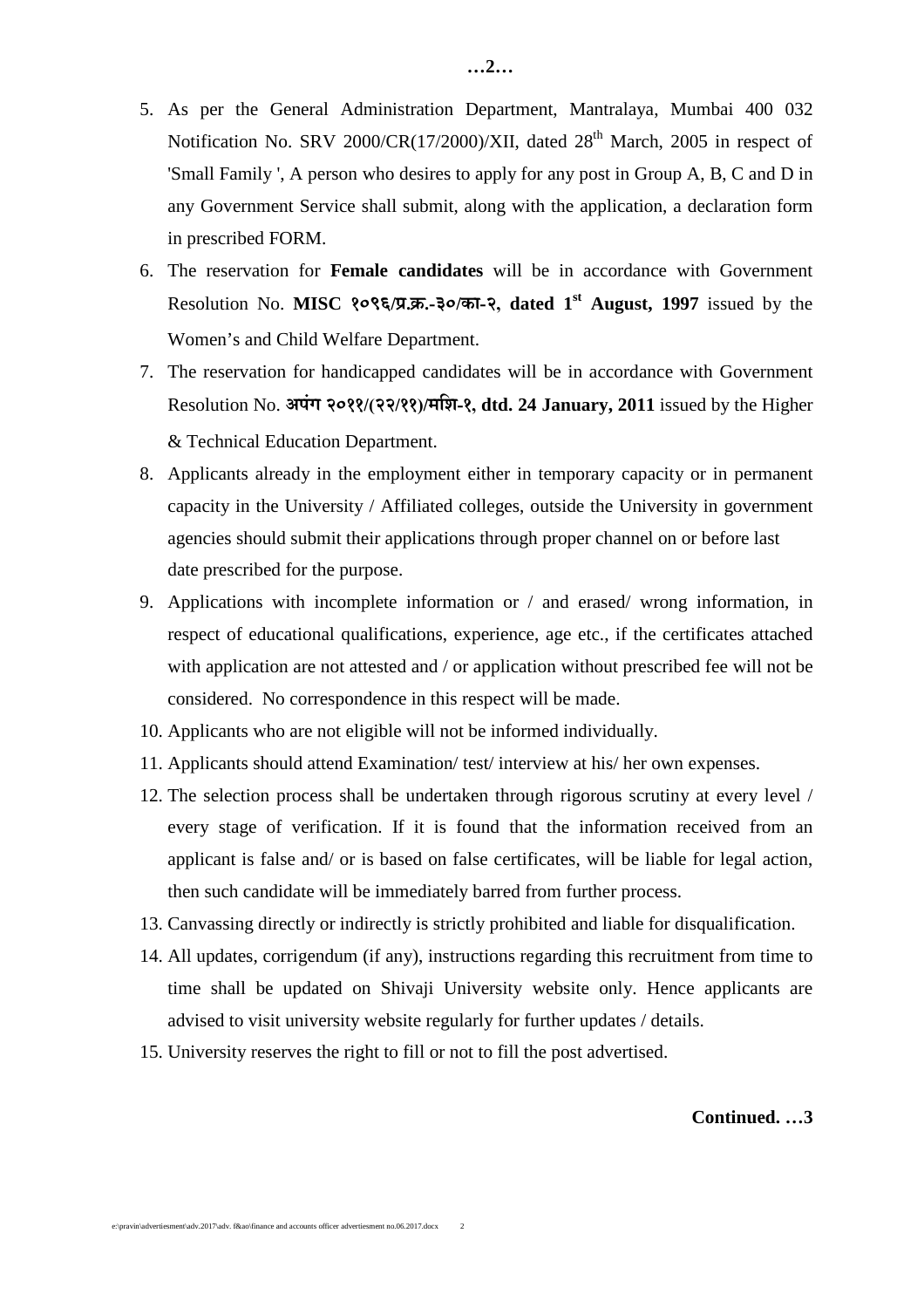- 5. As per the General Administration Department, Mantralaya, Mumbai 400 032 Notification No. SRV 2000/CR(17/2000)/XII, dated  $28<sup>th</sup>$  March, 2005 in respect of 'Small Family ', A person who desires to apply for any post in Group A, B, C and D in any Government Service shall submit, along with the application, a declaration form in prescribed FORM.
- 6. The reservation for **Female candidates** will be in accordance with Government Resolution No. **MISC २०९६/प्र.क.-३०/का-२, dated 1<sup>st</sup> August, 1997** issued by the Women's and Child Welfare Department.
- 7. The reservation for handicapped candidates will be in accordance with Government Resolution No. अपंग २०११/(२२/११)/मशि-१, dtd. 24 January, 2011 issued by the Higher & Technical Education Department.
- 8. Applicants already in the employment either in temporary capacity or in permanent capacity in the University / Affiliated colleges, outside the University in government agencies should submit their applications through proper channel on or before last date prescribed for the purpose.
- 9. Applications with incomplete information or / and erased/ wrong information, in respect of educational qualifications, experience, age etc., if the certificates attached with application are not attested and / or application without prescribed fee will not be considered. No correspondence in this respect will be made.
- 10. Applicants who are not eligible will not be informed individually.
- 11. Applicants should attend Examination/ test/ interview at his/ her own expenses.
- 12. The selection process shall be undertaken through rigorous scrutiny at every level / every stage of verification. If it is found that the information received from an applicant is false and/ or is based on false certificates, will be liable for legal action, then such candidate will be immediately barred from further process.
- 13. Canvassing directly or indirectly is strictly prohibited and liable for disqualification.
- 14. All updates, corrigendum (if any), instructions regarding this recruitment from time to time shall be updated on Shivaji University website only. Hence applicants are advised to visit university website regularly for further updates / details.
- 15. University reserves the right to fill or not to fill the post advertised.

#### **Continued. …3**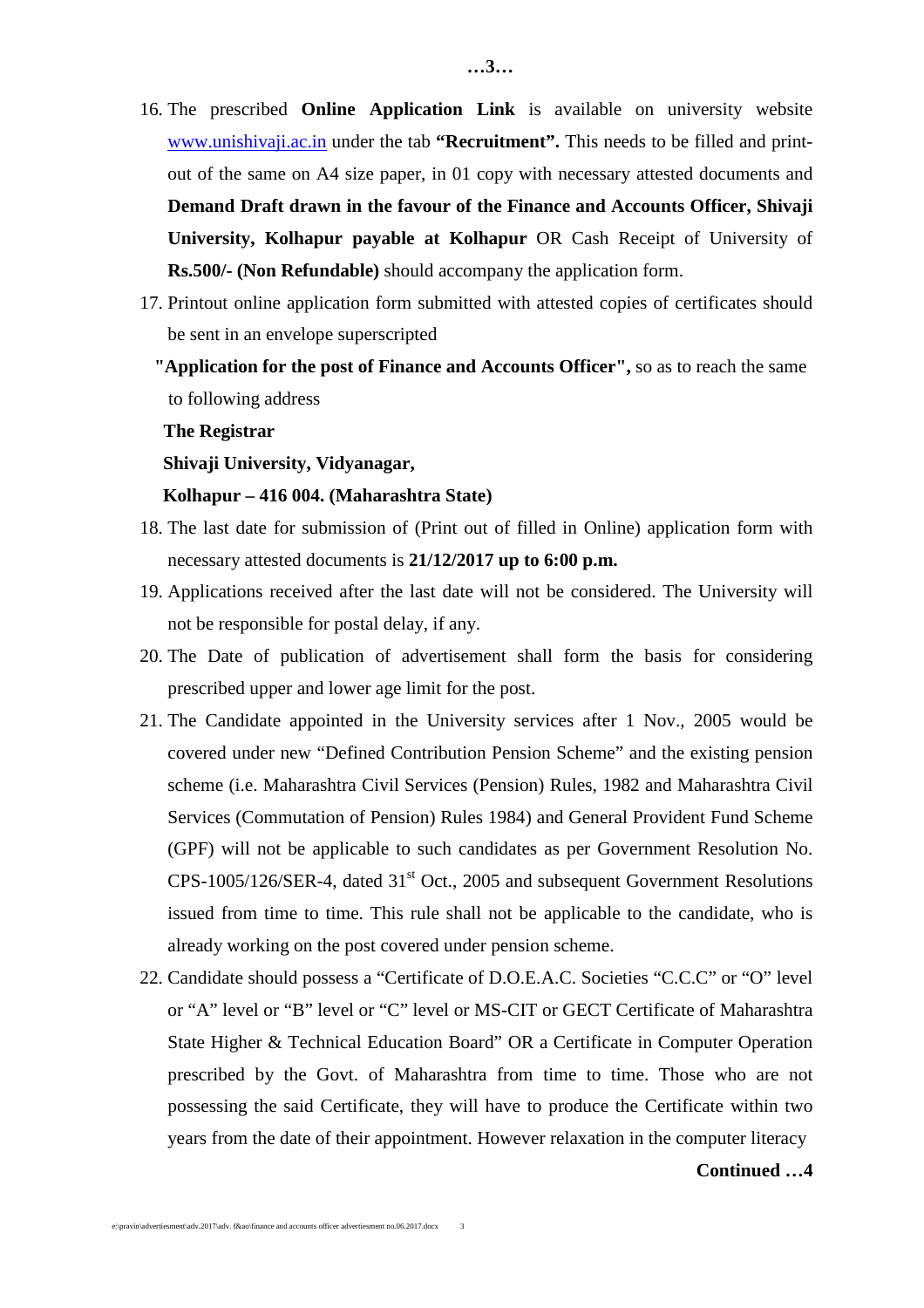- 16. The prescribed **Online Application Link** is available on university website www.unishivaji.ac.in under the tab **"Recruitment".** This needs to be filled and printout of the same on A4 size paper, in 01 copy with necessary attested documents and **Demand Draft drawn in the favour of the Finance and Accounts Officer, Shivaji University, Kolhapur payable at Kolhapur** OR Cash Receipt of University of **Rs.500/- (Non Refundable)** should accompany the application form.
- 17. Printout online application form submitted with attested copies of certificates should be sent in an envelope superscripted
	- **"Application for the post of Finance and Accounts Officer",** so as to reach the same to following address

#### **The Registrar**

#### **Shivaji University, Vidyanagar,**

#### **Kolhapur – 416 004. (Maharashtra State)**

- 18. The last date for submission of (Print out of filled in Online) application form with necessary attested documents is **21/12/2017 up to 6:00 p.m.**
- 19. Applications received after the last date will not be considered. The University will not be responsible for postal delay, if any.
- 20. The Date of publication of advertisement shall form the basis for considering prescribed upper and lower age limit for the post.
- 21. The Candidate appointed in the University services after 1 Nov., 2005 would be covered under new "Defined Contribution Pension Scheme" and the existing pension scheme (i.e. Maharashtra Civil Services (Pension) Rules, 1982 and Maharashtra Civil Services (Commutation of Pension) Rules 1984) and General Provident Fund Scheme (GPF) will not be applicable to such candidates as per Government Resolution No. CPS-1005/126/SER-4, dated 31<sup>st</sup> Oct., 2005 and subsequent Government Resolutions issued from time to time. This rule shall not be applicable to the candidate, who is already working on the post covered under pension scheme.
- 22. Candidate should possess a "Certificate of D.O.E.A.C. Societies "C.C.C" or "O" level or "A" level or "B" level or "C" level or MS-CIT or GECT Certificate of Maharashtra State Higher & Technical Education Board" OR a Certificate in Computer Operation prescribed by the Govt. of Maharashtra from time to time. Those who are not possessing the said Certificate, they will have to produce the Certificate within two years from the date of their appointment. However relaxation in the computer literacy

#### **Continued …4**